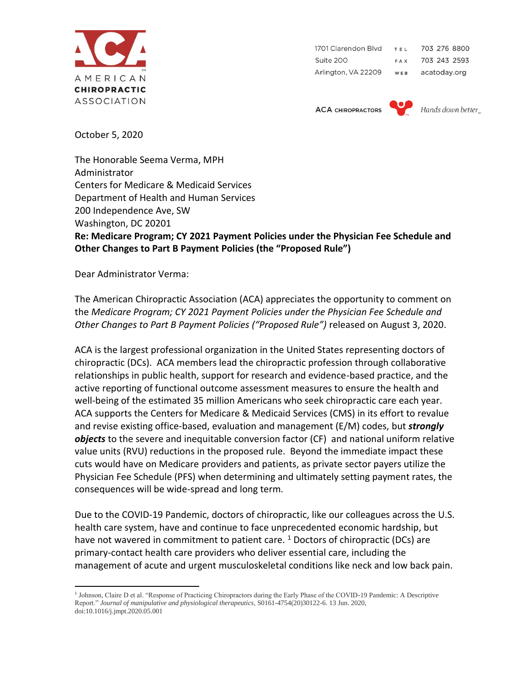

1701 Clarendon Blvd 703 276 8800 TEL Suite 200 **FAX** 703 243 2593 Arlington, VA 22209 WEB acatoday.org

**ACA CHIROPRACTORS** 

Hands down better

October 5, 2020

The Honorable Seema Verma, MPH Administrator Centers for Medicare & Medicaid Services Department of Health and Human Services 200 Independence Ave, SW Washington, DC 20201 **Re: Medicare Program; CY 2021 Payment Policies under the Physician Fee Schedule and Other Changes to Part B Payment Policies (the "Proposed Rule")** 

Dear Administrator Verma:

The American Chiropractic Association (ACA) appreciates the opportunity to comment on the *Medicare Program; CY 2021 Payment Policies under the Physician Fee Schedule and Other Changes to Part B Payment Policies ("Proposed Rule")* released on August 3, 2020.

ACA is the largest professional organization in the United States representing doctors of chiropractic (DCs). ACA members lead the chiropractic profession through collaborative relationships in public health, support for research and evidence-based practice, and the active reporting of functional outcome assessment measures to ensure the health and well-being of the estimated 35 million Americans who seek chiropractic care each year. ACA supports the Centers for Medicare & Medicaid Services (CMS) in its effort to revalue and revise existing office-based, evaluation and management (E/M) codes, but *strongly objects* to the severe and inequitable conversion factor (CF) and national uniform relative value units (RVU) reductions in the proposed rule. Beyond the immediate impact these cuts would have on Medicare providers and patients, as private sector payers utilize the Physician Fee Schedule (PFS) when determining and ultimately setting payment rates, the consequences will be wide-spread and long term.

Due to the COVID-19 Pandemic, doctors of chiropractic, like our colleagues across the U.S. health care system, have and continue to face unprecedented economic hardship, but have not wavered in commitment to patient care.  $1$  Doctors of chiropractic (DCs) are primary-contact health care providers who deliver essential care, including the management of acute and urgent musculoskeletal conditions like neck and low back pain.

<sup>&</sup>lt;sup>1</sup> Johnson, Claire D et al. "Response of Practicing Chiropractors during the Early Phase of the COVID-19 Pandemic: A Descriptive Report." *Journal of manipulative and physiological therapeutics*, S0161-4754(20)30122-6. 13 Jun. 2020, doi:10.1016/j.jmpt.2020.05.001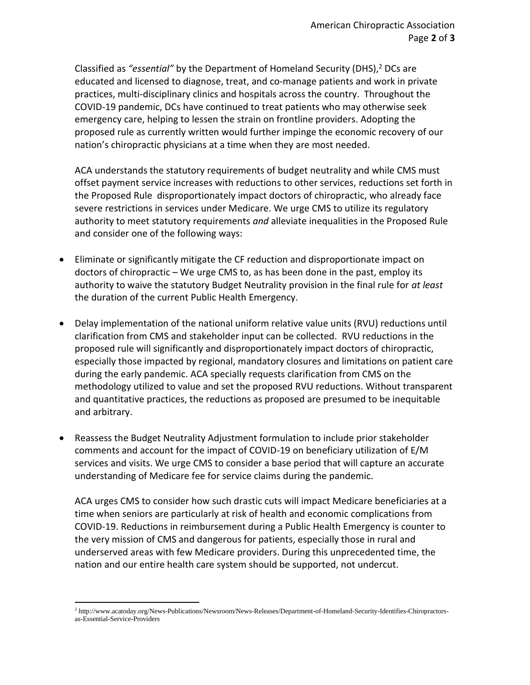Classified as *"essential"* by the Department of Homeland Security (DHS),<sup>2</sup> DCs are educated and licensed to diagnose, treat, and co-manage patients and work in private practices, multi-disciplinary clinics and hospitals across the country. Throughout the COVID-19 pandemic, DCs have continued to treat patients who may otherwise seek emergency care, helping to lessen the strain on frontline providers. Adopting the proposed rule as currently written would further impinge the economic recovery of our nation's chiropractic physicians at a time when they are most needed.

ACA understands the statutory requirements of budget neutrality and while CMS must offset payment service increases with reductions to other services, reductions set forth in the Proposed Rule disproportionately impact doctors of chiropractic, who already face severe restrictions in services under Medicare. We urge CMS to utilize its regulatory authority to meet statutory requirements *and* alleviate inequalities in the Proposed Rule and consider one of the following ways:

- Eliminate or significantly mitigate the CF reduction and disproportionate impact on doctors of chiropractic – We urge CMS to, as has been done in the past, employ its authority to waive the statutory Budget Neutrality provision in the final rule for *at least* the duration of the current Public Health Emergency.
- Delay implementation of the national uniform relative value units (RVU) reductions until clarification from CMS and stakeholder input can be collected. RVU reductions in the proposed rule will significantly and disproportionately impact doctors of chiropractic, especially those impacted by regional, mandatory closures and limitations on patient care during the early pandemic. ACA specially requests clarification from CMS on the methodology utilized to value and set the proposed RVU reductions. Without transparent and quantitative practices, the reductions as proposed are presumed to be inequitable and arbitrary.
- Reassess the Budget Neutrality Adjustment formulation to include prior stakeholder comments and account for the impact of COVID-19 on beneficiary utilization of E/M services and visits. We urge CMS to consider a base period that will capture an accurate understanding of Medicare fee for service claims during the pandemic.

ACA urges CMS to consider how such drastic cuts will impact Medicare beneficiaries at a time when seniors are particularly at risk of health and economic complications from COVID-19. Reductions in reimbursement during a Public Health Emergency is counter to the very mission of CMS and dangerous for patients, especially those in rural and underserved areas with few Medicare providers. During this unprecedented time, the nation and our entire health care system should be supported, not undercut.

<sup>2</sup> http://www.acatoday.org/News-Publications/Newsroom/News-Releases/Department-of-Homeland-Security-Identifies-Chiropractorsas-Essential-Service-Providers